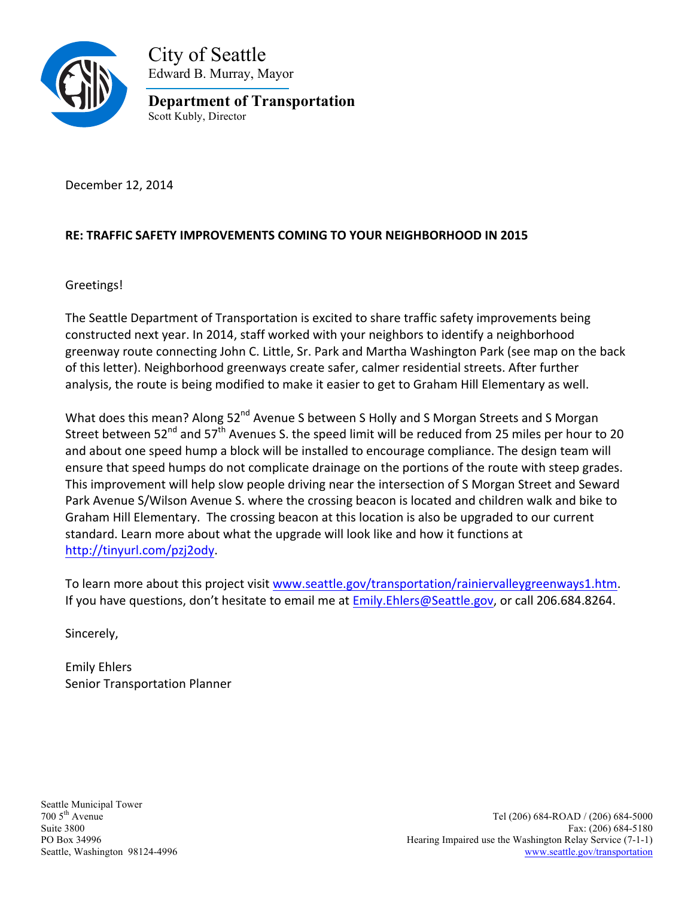

City of Seattle Edward B. Murray, Mayor

**Department of Transportation** Scott Kubly, Director

December 12, 2014

## RE: TRAFFIC SAFETY IMPROVEMENTS COMING TO YOUR NEIGHBORHOOD IN 2015

Greetings!

The Seattle Department of Transportation is excited to share traffic safety improvements being constructed next year. In 2014, staff worked with your neighbors to identify a neighborhood greenway route connecting John C. Little, Sr. Park and Martha Washington Park (see map on the back of this letter). Neighborhood greenways create safer, calmer residential streets. After further analysis, the route is being modified to make it easier to get to Graham Hill Elementary as well.

What does this mean? Along 52<sup>nd</sup> Avenue S between S Holly and S Morgan Streets and S Morgan Street between  $52^{nd}$  and  $57^{th}$  Avenues S. the speed limit will be reduced from 25 miles per hour to 20 and about one speed hump a block will be installed to encourage compliance. The design team will ensure that speed humps do not complicate drainage on the portions of the route with steep grades. This improvement will help slow people driving near the intersection of S Morgan Street and Seward Park Avenue S/Wilson Avenue S. where the crossing beacon is located and children walk and bike to Graham Hill Elementary. The crossing beacon at this location is also be upgraded to our current standard. Learn more about what the upgrade will look like and how it functions at http://tinyurl.com/pzj2ody.

To learn more about this project visit www.seattle.gov/transportation/rainiervalleygreenways1.htm. If you have questions, don't hesitate to email me at Emily.Ehlers@Seattle.gov, or call 206.684.8264.

Sincerely,

Emily 
Ehlers Senior Transportation Planner

Seattle Municipal Tower<br>700 5<sup>th</sup> Avenue